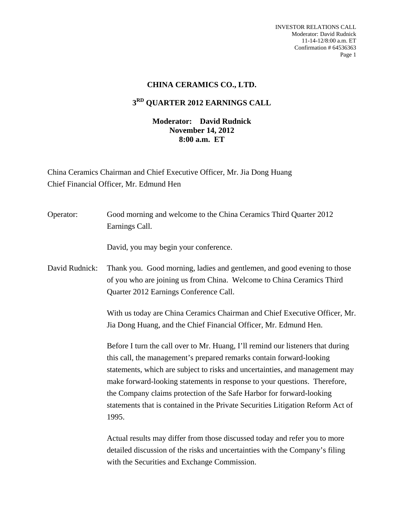INVESTOR RELATIONS CALL Moderator: David Rudnick 11-14-12/8:00 a.m. ET Confirmation # 64536363 Page 1

## **CHINA CERAMICS CO., LTD.**

## **3RD QUARTER 2012 EARNINGS CALL**

## **Moderator: David Rudnick November 14, 2012 8:00 a.m. ET**

China Ceramics Chairman and Chief Executive Officer, Mr. Jia Dong Huang Chief Financial Officer, Mr. Edmund Hen

| Operator:      | Good morning and welcome to the China Ceramics Third Quarter 2012<br>Earnings Call.                                                                                                                                                                                                                                                                                                                                                                                                      |
|----------------|------------------------------------------------------------------------------------------------------------------------------------------------------------------------------------------------------------------------------------------------------------------------------------------------------------------------------------------------------------------------------------------------------------------------------------------------------------------------------------------|
|                | David, you may begin your conference.                                                                                                                                                                                                                                                                                                                                                                                                                                                    |
| David Rudnick: | Thank you. Good morning, ladies and gentlemen, and good evening to those<br>of you who are joining us from China. Welcome to China Ceramics Third<br>Quarter 2012 Earnings Conference Call.                                                                                                                                                                                                                                                                                              |
|                | With us today are China Ceramics Chairman and Chief Executive Officer, Mr.<br>Jia Dong Huang, and the Chief Financial Officer, Mr. Edmund Hen.                                                                                                                                                                                                                                                                                                                                           |
|                | Before I turn the call over to Mr. Huang, I'll remind our listeners that during<br>this call, the management's prepared remarks contain forward-looking<br>statements, which are subject to risks and uncertainties, and management may<br>make forward-looking statements in response to your questions. Therefore,<br>the Company claims protection of the Safe Harbor for forward-looking<br>statements that is contained in the Private Securities Litigation Reform Act of<br>1995. |
|                | Actual results may differ from those discussed today and refer you to more<br>detailed discussion of the risks and uncertainties with the Company's filing<br>with the Securities and Exchange Commission.                                                                                                                                                                                                                                                                               |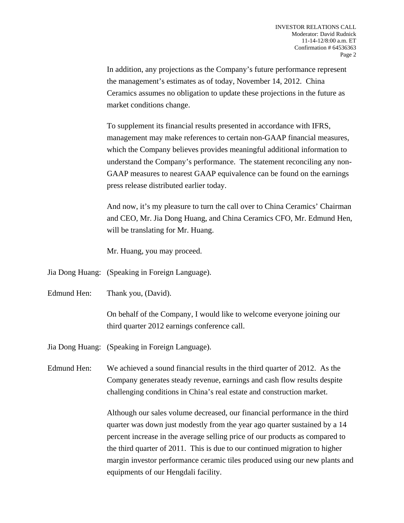In addition, any projections as the Company's future performance represent the management's estimates as of today, November 14, 2012. China Ceramics assumes no obligation to update these projections in the future as market conditions change.

 To supplement its financial results presented in accordance with IFRS, management may make references to certain non-GAAP financial measures, which the Company believes provides meaningful additional information to understand the Company's performance. The statement reconciling any non-GAAP measures to nearest GAAP equivalence can be found on the earnings press release distributed earlier today.

 And now, it's my pleasure to turn the call over to China Ceramics' Chairman and CEO, Mr. Jia Dong Huang, and China Ceramics CFO, Mr. Edmund Hen, will be translating for Mr. Huang.

Mr. Huang, you may proceed.

- Jia Dong Huang: (Speaking in Foreign Language).
- Edmund Hen: Thank you, (David).

 On behalf of the Company, I would like to welcome everyone joining our third quarter 2012 earnings conference call.

Jia Dong Huang: (Speaking in Foreign Language).

Edmund Hen: We achieved a sound financial results in the third quarter of 2012. As the Company generates steady revenue, earnings and cash flow results despite challenging conditions in China's real estate and construction market.

> Although our sales volume decreased, our financial performance in the third quarter was down just modestly from the year ago quarter sustained by a 14 percent increase in the average selling price of our products as compared to the third quarter of 2011. This is due to our continued migration to higher margin investor performance ceramic tiles produced using our new plants and equipments of our Hengdali facility.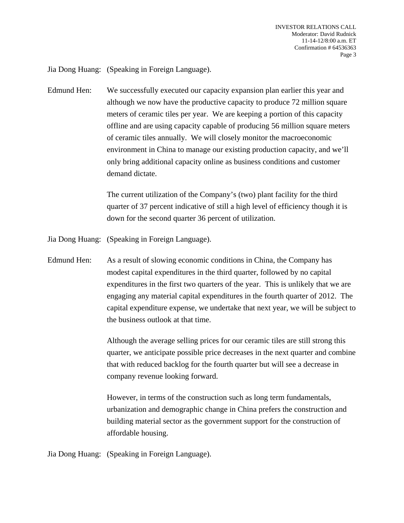Jia Dong Huang: (Speaking in Foreign Language).

Edmund Hen: We successfully executed our capacity expansion plan earlier this year and although we now have the productive capacity to produce 72 million square meters of ceramic tiles per year. We are keeping a portion of this capacity offline and are using capacity capable of producing 56 million square meters of ceramic tiles annually. We will closely monitor the macroeconomic environment in China to manage our existing production capacity, and we'll only bring additional capacity online as business conditions and customer demand dictate.

> The current utilization of the Company's (two) plant facility for the third quarter of 37 percent indicative of still a high level of efficiency though it is down for the second quarter 36 percent of utilization.

Jia Dong Huang: (Speaking in Foreign Language).

Edmund Hen: As a result of slowing economic conditions in China, the Company has modest capital expenditures in the third quarter, followed by no capital expenditures in the first two quarters of the year. This is unlikely that we are engaging any material capital expenditures in the fourth quarter of 2012. The capital expenditure expense, we undertake that next year, we will be subject to the business outlook at that time.

> Although the average selling prices for our ceramic tiles are still strong this quarter, we anticipate possible price decreases in the next quarter and combine that with reduced backlog for the fourth quarter but will see a decrease in company revenue looking forward.

 However, in terms of the construction such as long term fundamentals, urbanization and demographic change in China prefers the construction and building material sector as the government support for the construction of affordable housing.

Jia Dong Huang: (Speaking in Foreign Language).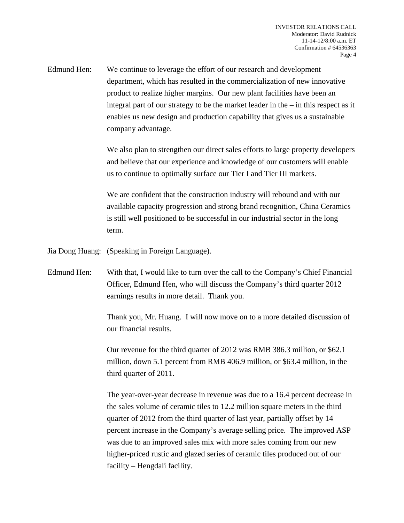Edmund Hen: We continue to leverage the effort of our research and development department, which has resulted in the commercialization of new innovative product to realize higher margins. Our new plant facilities have been an integral part of our strategy to be the market leader in the – in this respect as it enables us new design and production capability that gives us a sustainable company advantage.

> We also plan to strengthen our direct sales efforts to large property developers and believe that our experience and knowledge of our customers will enable us to continue to optimally surface our Tier I and Tier III markets.

 We are confident that the construction industry will rebound and with our available capacity progression and strong brand recognition, China Ceramics is still well positioned to be successful in our industrial sector in the long term.

Jia Dong Huang: (Speaking in Foreign Language).

Edmund Hen: With that, I would like to turn over the call to the Company's Chief Financial Officer, Edmund Hen, who will discuss the Company's third quarter 2012 earnings results in more detail. Thank you.

> Thank you, Mr. Huang. I will now move on to a more detailed discussion of our financial results.

 Our revenue for the third quarter of 2012 was RMB 386.3 million, or \$62.1 million, down 5.1 percent from RMB 406.9 million, or \$63.4 million, in the third quarter of 2011.

 The year-over-year decrease in revenue was due to a 16.4 percent decrease in the sales volume of ceramic tiles to 12.2 million square meters in the third quarter of 2012 from the third quarter of last year, partially offset by 14 percent increase in the Company's average selling price. The improved ASP was due to an improved sales mix with more sales coming from our new higher-priced rustic and glazed series of ceramic tiles produced out of our facility – Hengdali facility.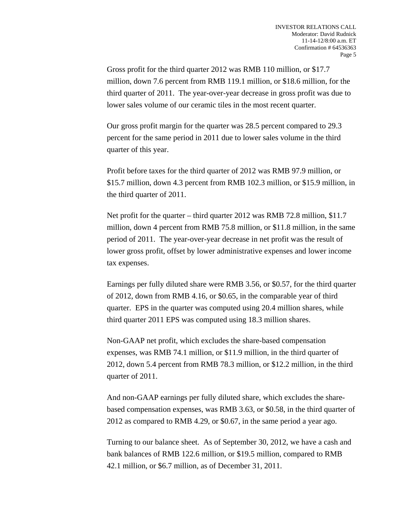Gross profit for the third quarter 2012 was RMB 110 million, or \$17.7 million, down 7.6 percent from RMB 119.1 million, or \$18.6 million, for the third quarter of 2011. The year-over-year decrease in gross profit was due to lower sales volume of our ceramic tiles in the most recent quarter.

 Our gross profit margin for the quarter was 28.5 percent compared to 29.3 percent for the same period in 2011 due to lower sales volume in the third quarter of this year.

 Profit before taxes for the third quarter of 2012 was RMB 97.9 million, or \$15.7 million, down 4.3 percent from RMB 102.3 million, or \$15.9 million, in the third quarter of 2011.

 Net profit for the quarter – third quarter 2012 was RMB 72.8 million, \$11.7 million, down 4 percent from RMB 75.8 million, or \$11.8 million, in the same period of 2011. The year-over-year decrease in net profit was the result of lower gross profit, offset by lower administrative expenses and lower income tax expenses.

 Earnings per fully diluted share were RMB 3.56, or \$0.57, for the third quarter of 2012, down from RMB 4.16, or \$0.65, in the comparable year of third quarter. EPS in the quarter was computed using 20.4 million shares, while third quarter 2011 EPS was computed using 18.3 million shares.

 Non-GAAP net profit, which excludes the share-based compensation expenses, was RMB 74.1 million, or \$11.9 million, in the third quarter of 2012, down 5.4 percent from RMB 78.3 million, or \$12.2 million, in the third quarter of 2011.

 And non-GAAP earnings per fully diluted share, which excludes the sharebased compensation expenses, was RMB 3.63, or \$0.58, in the third quarter of 2012 as compared to RMB 4.29, or \$0.67, in the same period a year ago.

 Turning to our balance sheet. As of September 30, 2012, we have a cash and bank balances of RMB 122.6 million, or \$19.5 million, compared to RMB 42.1 million, or \$6.7 million, as of December 31, 2011.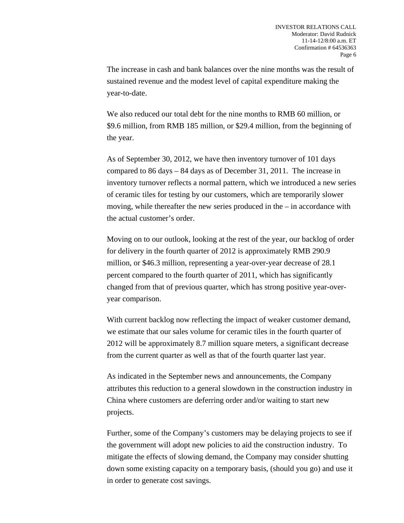The increase in cash and bank balances over the nine months was the result of sustained revenue and the modest level of capital expenditure making the year-to-date.

 We also reduced our total debt for the nine months to RMB 60 million, or \$9.6 million, from RMB 185 million, or \$29.4 million, from the beginning of the year.

 As of September 30, 2012, we have then inventory turnover of 101 days compared to 86 days – 84 days as of December 31, 2011. The increase in inventory turnover reflects a normal pattern, which we introduced a new series of ceramic tiles for testing by our customers, which are temporarily slower moving, while thereafter the new series produced in the – in accordance with the actual customer's order.

 Moving on to our outlook, looking at the rest of the year, our backlog of order for delivery in the fourth quarter of 2012 is approximately RMB 290.9 million, or \$46.3 million, representing a year-over-year decrease of 28.1 percent compared to the fourth quarter of 2011, which has significantly changed from that of previous quarter, which has strong positive year-overyear comparison.

 With current backlog now reflecting the impact of weaker customer demand, we estimate that our sales volume for ceramic tiles in the fourth quarter of 2012 will be approximately 8.7 million square meters, a significant decrease from the current quarter as well as that of the fourth quarter last year.

 As indicated in the September news and announcements, the Company attributes this reduction to a general slowdown in the construction industry in China where customers are deferring order and/or waiting to start new projects.

 Further, some of the Company's customers may be delaying projects to see if the government will adopt new policies to aid the construction industry. To mitigate the effects of slowing demand, the Company may consider shutting down some existing capacity on a temporary basis, (should you go) and use it in order to generate cost savings.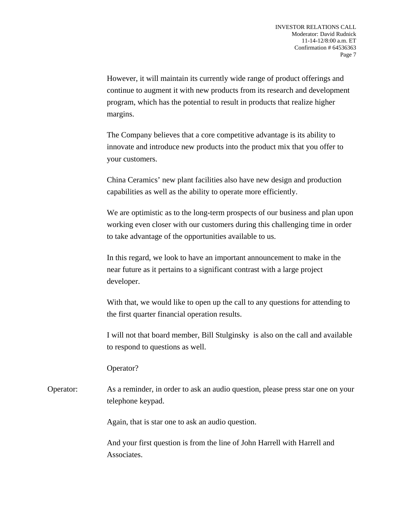However, it will maintain its currently wide range of product offerings and continue to augment it with new products from its research and development program, which has the potential to result in products that realize higher margins.

 The Company believes that a core competitive advantage is its ability to innovate and introduce new products into the product mix that you offer to your customers.

 China Ceramics' new plant facilities also have new design and production capabilities as well as the ability to operate more efficiently.

 We are optimistic as to the long-term prospects of our business and plan upon working even closer with our customers during this challenging time in order to take advantage of the opportunities available to us.

 In this regard, we look to have an important announcement to make in the near future as it pertains to a significant contrast with a large project developer.

 With that, we would like to open up the call to any questions for attending to the first quarter financial operation results.

 I will not that board member, Bill Stulginsky is also on the call and available to respond to questions as well.

Operator?

Operator: As a reminder, in order to ask an audio question, please press star one on your telephone keypad.

Again, that is star one to ask an audio question.

 And your first question is from the line of John Harrell with Harrell and Associates.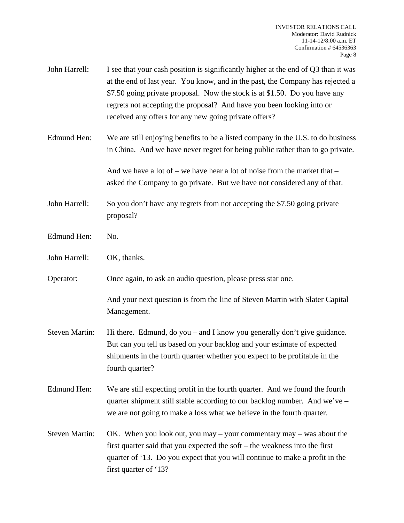- John Harrell: I see that your cash position is significantly higher at the end of Q3 than it was at the end of last year. You know, and in the past, the Company has rejected a \$7.50 going private proposal. Now the stock is at \$1.50. Do you have any regrets not accepting the proposal? And have you been looking into or received any offers for any new going private offers?
- Edmund Hen: We are still enjoying benefits to be a listed company in the U.S. to do business in China. And we have never regret for being public rather than to go private.

And we have a lot of – we have hear a lot of noise from the market that  $$ asked the Company to go private. But we have not considered any of that.

- John Harrell: So you don't have any regrets from not accepting the \$7.50 going private proposal?
- Edmund Hen: No.
- John Harrell: OK, thanks.

Operator: Once again, to ask an audio question, please press star one.

 And your next question is from the line of Steven Martin with Slater Capital Management.

- Steven Martin: Hi there. Edmund, do you and I know you generally don't give guidance. But can you tell us based on your backlog and your estimate of expected shipments in the fourth quarter whether you expect to be profitable in the fourth quarter?
- Edmund Hen: We are still expecting profit in the fourth quarter. And we found the fourth quarter shipment still stable according to our backlog number. And we've – we are not going to make a loss what we believe in the fourth quarter.
- Steven Martin: OK. When you look out, you may your commentary may was about the first quarter said that you expected the soft – the weakness into the first quarter of '13. Do you expect that you will continue to make a profit in the first quarter of '13?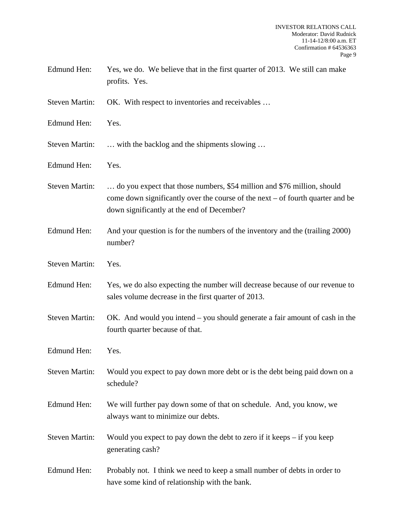| Edmund Hen: | Yes, we do. We believe that in the first quarter of 2013. We still can make |
|-------------|-----------------------------------------------------------------------------|
|             | profits. Yes.                                                               |

Steven Martin: OK. With respect to inventories and receivables ...

- Edmund Hen: Yes.
- Steven Martin: ... with the backlog and the shipments slowing ...
- Edmund Hen: Yes.
- Steven Martin: ... do you expect that those numbers, \$54 million and \$76 million, should come down significantly over the course of the next – of fourth quarter and be down significantly at the end of December?
- Edmund Hen: And your question is for the numbers of the inventory and the (trailing 2000) number?
- Steven Martin: Yes.
- Edmund Hen: Yes, we do also expecting the number will decrease because of our revenue to sales volume decrease in the first quarter of 2013.
- Steven Martin: OK. And would you intend you should generate a fair amount of cash in the fourth quarter because of that.
- Edmund Hen: Yes.
- Steven Martin: Would you expect to pay down more debt or is the debt being paid down on a schedule?
- Edmund Hen: We will further pay down some of that on schedule. And, you know, we always want to minimize our debts.
- Steven Martin: Would you expect to pay down the debt to zero if it keeps if you keep generating cash?
- Edmund Hen: Probably not. I think we need to keep a small number of debts in order to have some kind of relationship with the bank.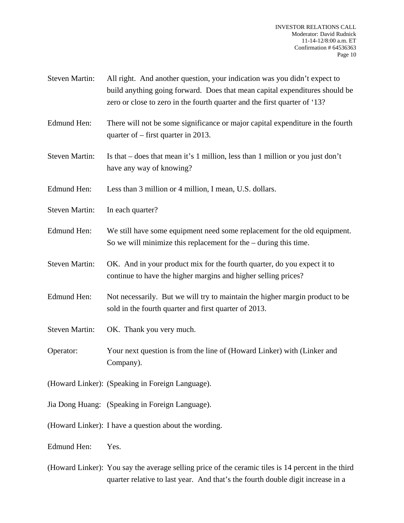- Steven Martin: All right. And another question, your indication was you didn't expect to build anything going forward. Does that mean capital expenditures should be zero or close to zero in the fourth quarter and the first quarter of '13?
- Edmund Hen: There will not be some significance or major capital expenditure in the fourth quarter of – first quarter in 2013.
- Steven Martin: Is that does that mean it's 1 million, less than 1 million or you just don't have any way of knowing?
- Edmund Hen: Less than 3 million or 4 million, I mean, U.S. dollars.
- Steven Martin: In each quarter?
- Edmund Hen: We still have some equipment need some replacement for the old equipment. So we will minimize this replacement for the – during this time.
- Steven Martin: OK. And in your product mix for the fourth quarter, do you expect it to continue to have the higher margins and higher selling prices?
- Edmund Hen: Not necessarily. But we will try to maintain the higher margin product to be sold in the fourth quarter and first quarter of 2013.
- Steven Martin: OK. Thank you very much.
- Operator: Your next question is from the line of (Howard Linker) with (Linker and Company).
- (Howard Linker): (Speaking in Foreign Language).
- Jia Dong Huang: (Speaking in Foreign Language).
- (Howard Linker): I have a question about the wording.

Edmund Hen: Yes.

(Howard Linker): You say the average selling price of the ceramic tiles is 14 percent in the third quarter relative to last year. And that's the fourth double digit increase in a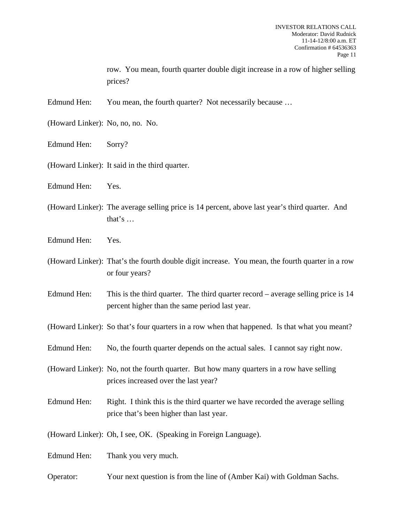row. You mean, fourth quarter double digit increase in a row of higher selling prices?

Edmund Hen: You mean, the fourth quarter? Not necessarily because ...

- (Howard Linker): No, no, no. No.
- Edmund Hen: Sorry?
- (Howard Linker): It said in the third quarter.
- Edmund Hen: Yes.
- (Howard Linker): The average selling price is 14 percent, above last year's third quarter. And that's …
- Edmund Hen: Yes.
- (Howard Linker): That's the fourth double digit increase. You mean, the fourth quarter in a row or four years?
- Edmund Hen: This is the third quarter. The third quarter record average selling price is 14 percent higher than the same period last year.
- (Howard Linker): So that's four quarters in a row when that happened. Is that what you meant?
- Edmund Hen: No, the fourth quarter depends on the actual sales. I cannot say right now.

(Howard Linker): No, not the fourth quarter. But how many quarters in a row have selling prices increased over the last year?

Edmund Hen: Right. I think this is the third quarter we have recorded the average selling price that's been higher than last year.

(Howard Linker): Oh, I see, OK. (Speaking in Foreign Language).

Edmund Hen: Thank you very much.

Operator: Your next question is from the line of (Amber Kai) with Goldman Sachs.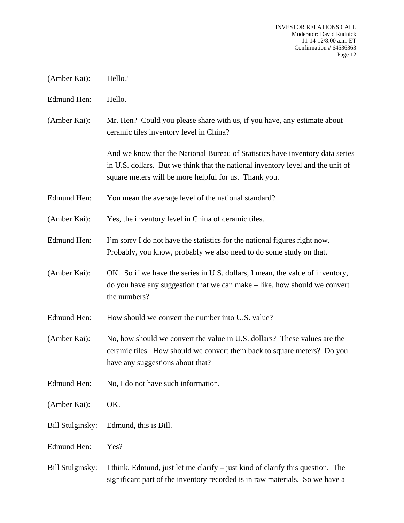- (Amber Kai): Hello?
- Edmund Hen: Hello.
- (Amber Kai): Mr. Hen? Could you please share with us, if you have, any estimate about ceramic tiles inventory level in China?

 And we know that the National Bureau of Statistics have inventory data series in U.S. dollars. But we think that the national inventory level and the unit of square meters will be more helpful for us. Thank you.

- Edmund Hen: You mean the average level of the national standard?
- (Amber Kai): Yes, the inventory level in China of ceramic tiles.
- Edmund Hen: I'm sorry I do not have the statistics for the national figures right now. Probably, you know, probably we also need to do some study on that.
- (Amber Kai): OK. So if we have the series in U.S. dollars, I mean, the value of inventory, do you have any suggestion that we can make – like, how should we convert the numbers?
- Edmund Hen: How should we convert the number into U.S. value?
- (Amber Kai): No, how should we convert the value in U.S. dollars? These values are the ceramic tiles. How should we convert them back to square meters? Do you have any suggestions about that?
- Edmund Hen: No, I do not have such information.
- (Amber Kai): OK.
- Bill Stulginsky: Edmund, this is Bill.
- Edmund Hen: Yes?
- Bill Stulginsky: I think, Edmund, just let me clarify just kind of clarify this question. The significant part of the inventory recorded is in raw materials. So we have a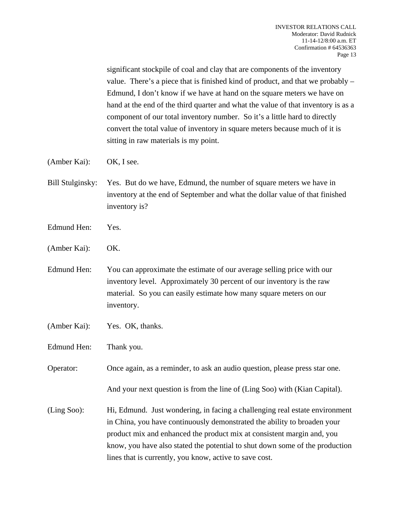significant stockpile of coal and clay that are components of the inventory value. There's a piece that is finished kind of product, and that we probably – Edmund, I don't know if we have at hand on the square meters we have on hand at the end of the third quarter and what the value of that inventory is as a component of our total inventory number. So it's a little hard to directly convert the total value of inventory in square meters because much of it is sitting in raw materials is my point.

- (Amber Kai): OK, I see.
- Bill Stulginsky: Yes. But do we have, Edmund, the number of square meters we have in inventory at the end of September and what the dollar value of that finished inventory is?
- Edmund Hen: Yes.
- (Amber Kai): OK.
- Edmund Hen: You can approximate the estimate of our average selling price with our inventory level. Approximately 30 percent of our inventory is the raw material. So you can easily estimate how many square meters on our inventory.
- (Amber Kai): Yes. OK, thanks.
- Edmund Hen: Thank you.

Operator: Once again, as a reminder, to ask an audio question, please press star one.

And your next question is from the line of (Ling Soo) with (Kian Capital).

(Ling Soo): Hi, Edmund. Just wondering, in facing a challenging real estate environment in China, you have continuously demonstrated the ability to broaden your product mix and enhanced the product mix at consistent margin and, you know, you have also stated the potential to shut down some of the production lines that is currently, you know, active to save cost.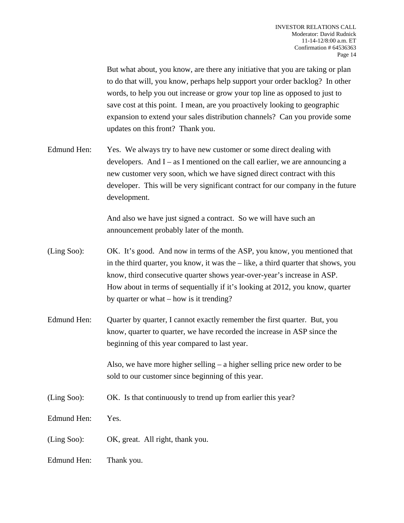But what about, you know, are there any initiative that you are taking or plan to do that will, you know, perhaps help support your order backlog? In other words, to help you out increase or grow your top line as opposed to just to save cost at this point. I mean, are you proactively looking to geographic expansion to extend your sales distribution channels? Can you provide some updates on this front? Thank you.

Edmund Hen: Yes. We always try to have new customer or some direct dealing with developers. And  $I - as I$  mentioned on the call earlier, we are announcing a new customer very soon, which we have signed direct contract with this developer. This will be very significant contract for our company in the future development.

> And also we have just signed a contract. So we will have such an announcement probably later of the month.

- (Ling Soo): OK. It's good. And now in terms of the ASP, you know, you mentioned that in the third quarter, you know, it was the  $-$  like, a third quarter that shows, you know, third consecutive quarter shows year-over-year's increase in ASP. How about in terms of sequentially if it's looking at 2012, you know, quarter by quarter or what – how is it trending?
- Edmund Hen: Quarter by quarter, I cannot exactly remember the first quarter. But, you know, quarter to quarter, we have recorded the increase in ASP since the beginning of this year compared to last year.

 Also, we have more higher selling – a higher selling price new order to be sold to our customer since beginning of this year.

- (Ling Soo): OK. Is that continuously to trend up from earlier this year?
- Edmund Hen: Yes.
- (Ling Soo): OK, great. All right, thank you.
- Edmund Hen: Thank you.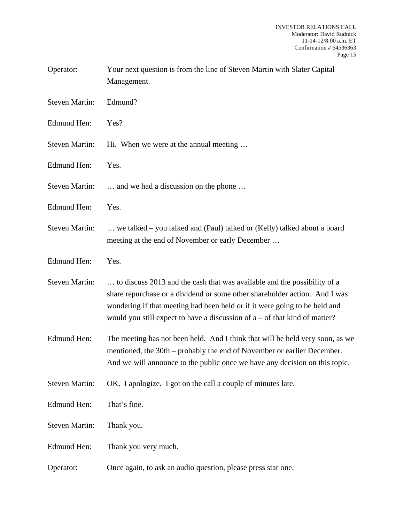| Operator:             | Your next question is from the line of Steven Martin with Slater Capital<br>Management.                                                                                                                                                                                                                              |
|-----------------------|----------------------------------------------------------------------------------------------------------------------------------------------------------------------------------------------------------------------------------------------------------------------------------------------------------------------|
| <b>Steven Martin:</b> | Edmund?                                                                                                                                                                                                                                                                                                              |
| Edmund Hen:           | Yes?                                                                                                                                                                                                                                                                                                                 |
| <b>Steven Martin:</b> | Hi. When we were at the annual meeting                                                                                                                                                                                                                                                                               |
| Edmund Hen:           | Yes.                                                                                                                                                                                                                                                                                                                 |
| <b>Steven Martin:</b> | and we had a discussion on the phone                                                                                                                                                                                                                                                                                 |
| Edmund Hen:           | Yes.                                                                                                                                                                                                                                                                                                                 |
| <b>Steven Martin:</b> | we talked – you talked and (Paul) talked or (Kelly) talked about a board<br>meeting at the end of November or early December                                                                                                                                                                                         |
| Edmund Hen:           | Yes.                                                                                                                                                                                                                                                                                                                 |
| <b>Steven Martin:</b> | to discuss 2013 and the cash that was available and the possibility of a<br>share repurchase or a dividend or some other shareholder action. And I was<br>wondering if that meeting had been held or if it were going to be held and<br>would you still expect to have a discussion of $a$ – of that kind of matter? |
| Edmund Hen:           | The meeting has not been held. And I think that will be held very soon, as we<br>mentioned, the 30th – probably the end of November or earlier December.<br>And we will announce to the public once we have any decision on this topic.                                                                              |
| <b>Steven Martin:</b> | OK. I apologize. I got on the call a couple of minutes late.                                                                                                                                                                                                                                                         |
| Edmund Hen:           | That's fine.                                                                                                                                                                                                                                                                                                         |
| <b>Steven Martin:</b> | Thank you.                                                                                                                                                                                                                                                                                                           |
| <b>Edmund Hen:</b>    | Thank you very much.                                                                                                                                                                                                                                                                                                 |
| Operator:             | Once again, to ask an audio question, please press star one.                                                                                                                                                                                                                                                         |